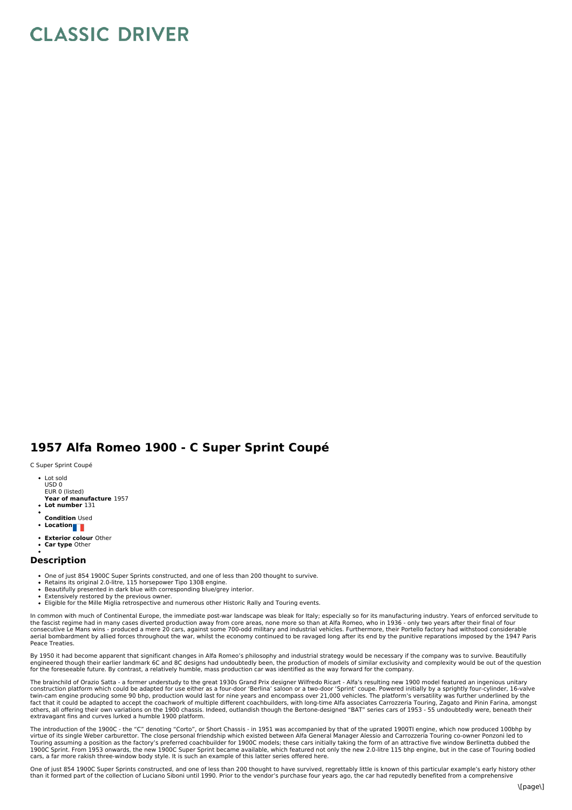## **CLASSIC DRIVER**

## **1957 Alfa Romeo 1900 - C Super Sprint Coupé**

C Super Sprint Coupé

- Lot sold USD 0 EUR 0 (listed)
- **Year of manufacture** 1957
- **Lot number** 131
- **Condition** Used
- **Location**
- **Exterior colour** Other
- **Car type** Other

## **Description**

- One of just 854 1900C Super Sprints constructed, and one of less than 200 thought to survive.
- Retains its original 2.0-litre, 115 horsepower Tipo 1308 engine.<br>Beautifully presented in dark blue with corresponding blue/grey interior.
- 
- Extensively restored by the previous owner.<br>Eligible for the Mille Miglia retrospective and numerous other Historic Rally and Touring events.
- In common with much of Continental Europe, the immediate post-war landscape was bleak for Italy; especially so for its manufacturing industry. Years of enforced servitude to the fascist regime had in many cases diverted production away from core areas, none more so than at Alfa Romeo, who in 1936 - only two years after their final of four<br>consecutive Le Mans wins - produced a mere 20 cars, aga aerial bombardment by allied forces throughout the war, whilst the economy continued to be ravaged long after its end by the punitive reparations imposed by the 1947 Paris Peace Treaties.

By 1950 it had become apparent that significant changes in Alfa Romeo's philosophy and industrial strategy would be necessary if the company was to survive. Beautifully engineered though their earlier landmark 6C and 8C designs had undoubtedly been, the production of models of similar exclusivity and complexity would be out of the question<br>for the foreseeable future. By contrast, a relati

The brainchild of Orazio Satta - a former understudy to the great 1930s Grand Prix designer Wilfredo Ricart - Alfa's resulting new 1900 model featured an ingenious unitary<br>construction platform which could be adapted for u twin-cam engine producing some 90 bhp, production would last for nine years and encompass over 21,000 vehicles. The platform's versatility was further underlined by the<br>fact that it could be adapted to accept the coachwork others, all offering their own variations on the 1900 chassis. Indeed, outlandish though the Bertone-designed "BAT" series cars of 1953 - 55 undoubtedly were, beneath their extravagant fins and curves lurked a humble 1900 platform.

The introduction of the 1900C - the "C" denoting "Corto", or Short Chassis - in 1951 was accompanied by that of the uprated 1900TI engine, which now produced 100bhp by<br>virtue of its single Weber carburettor. The close pers

One of just 854 1900C Super Sprints constructed, and one of less than 200 thought to have survived, regrettably little is known of this particular example's early history other than it formed part of the collection of Luciano Siboni until 1990. Prior to the vendor's purchase four years ago, the car had reputedly benefited from a comprehensive